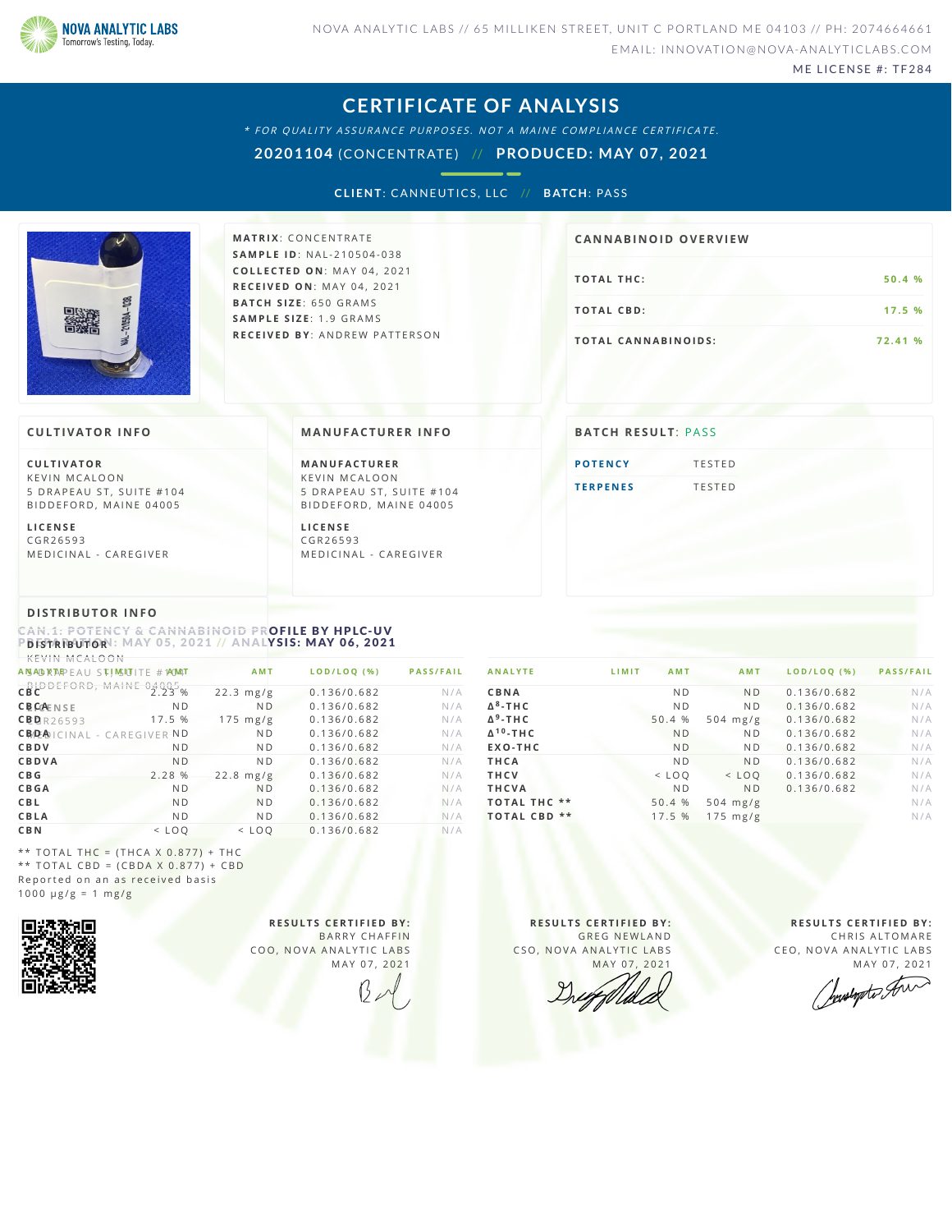

ME LICENSE #: TF284

### **CERTIFICATE OF ANALYSIS**

\* FOR QUALITY ASSURANCE PURPOSES. NOT A MAINE COMPLIANCE CERTIFICATE.

**20201104** (CONCENTRATE) // **PRODUCED: MAY 07, 2021**

**CLIENT: CANNEUTICS, LLC // BATCH: PASS** 



**M AT R I X** :C O N C E N T R A T E **SA M P L E I D** :N A L - 2 1 0 5 0 4 - 0 3 8 **C O L L E C T E D O N** :M A Y 0 4 , 2 0 2 1 **R E C E I V E D O N** : M A Y 0 4 , 2 0 2 1 **BAT C H S I Z E** : 6 5 0 G R A M S **SA M P L E S I Z E** : 1 . 9 G R A M S **R E C E I V E D BY** : A N D R E W P A T T E R S O N

# **TOTAL THC:** 50.4 % **T O TAL CB D :1 7 . 5 % CA N N ABI N OID OVERVI EW**

**T O TAL CA N N ABI N O I D S : 7 2 . 4 1 %**

### **CULTIVATOR I N FO**

**C U L T I VAT O R** K F V IN M CALOON 5 DRAPEAU ST, SUITE #104 BID DEFORD, MAINE 04005

**L I C E N S E** C G R 2 6 5 9 3 MEDICINAL - CAREGIVER

### **MA N UFACTURER I N FO**

**M A N U FAC T U R E R** K F V IN M CALOON 5 DRAPEAU ST, SUITE #104 BID D E FORD, MAINE 04005

**L I C E N S E** C G R 2 6 5 9 3 MEDICINAL - CAREGIVER

## **BATCH RESULT: PASS**

**POTE[N](#page-0-0)CY** TESTED **T E R P E [N](#page-1-0) E S** T E S T E D

### **DI STRIBUTOR I N FO**

<span id="page-0-0"></span>CAN.1: POTENCY & CANNABINOID PROFILE BY HPLC-UV  $P$  **D ISTRIBUTOR**  $\colon$  MAY 05, 2021 // ANALYSIS: MAY 06, 2021

| KEVIN MCALOON                     |                |                    |             |                  |
|-----------------------------------|----------------|--------------------|-------------|------------------|
| ANSALD RAPEAU STIMSLUITE #1AMAT   |                | <b>AMT</b>         | LOD/LOQ (%) | <b>PASS/FAIL</b> |
| CBLODEFORD, MAINE                 | 04005          | $22.3$ mg/g        | 0.136/0.682 | N/A              |
| <b>CBCAENSE</b>                   | N <sub>D</sub> | N <sub>D</sub>     | 0.136/0.682 | N/A              |
| CBBR26593                         | 17.5 %         | $175 \text{ mg/g}$ | 0.136/0.682 | N/A              |
| <b>CBDA</b> ICINAL - CAREGIVER ND |                | N <sub>D</sub>     | 0.136/0.682 | N/A              |
| CBDV                              | N <sub>D</sub> | N <sub>D</sub>     | 0.136/0.682 | N/A              |
| CBDVA                             | N <sub>D</sub> | N <sub>D</sub>     | 0.136/0.682 | N/A              |
| C <sub>B</sub> <sub>G</sub>       | 2.28 %         | $22.8$ mg/g        | 0.136/0.682 | N/A              |
| <b>CBGA</b>                       | N <sub>D</sub> | N <sub>D</sub>     | 0.136/0.682 | N/A              |
| CBL                               | N <sub>D</sub> | N <sub>D</sub>     | 0.136/0.682 | N/A              |
| CBLA                              | N <sub>D</sub> | N <sub>D</sub>     | 0.136/0.682 | N/A              |
| <b>CBN</b>                        | $<$ LOO        | $<$ LOO            | 0.136/0.682 | N/A              |

| <b>ANALYTE</b>             | LIMIT<br><b>AMT</b> | <b>AMT</b>         | LOD/LOO (%) | <b>PASS/FAIL</b> |
|----------------------------|---------------------|--------------------|-------------|------------------|
| CBNA                       | N <sub>D</sub>      | <b>ND</b>          | 0.136/0.682 | N/A              |
| $\Delta^8$ -THC            | N <sub>D</sub>      | N <sub>D</sub>     | 0.136/0.682 | N/A              |
| $\Delta$ <sup>9</sup> -THC | 50.4 %              | $504 \text{ mg/g}$ | 0.136/0.682 | N/A              |
| $\Delta^{10}$ -THC         | N <sub>D</sub>      | N <sub>D</sub>     | 0.136/0.682 | N/A              |
| EXO-THC                    | <b>ND</b>           | N <sub>D</sub>     | 0.136/0.682 | N/A              |
| THCA                       | N <sub>D</sub>      | <b>ND</b>          | 0.136/0.682 | N/A              |
| <b>THCV</b>                | $<$ LOO             | $<$ LOO            | 0.136/0.682 | N/A              |
| <b>THCVA</b>               | <b>ND</b>           | N <sub>D</sub>     | 0.136/0.682 | N/A              |
| <b>TOTAL THC **</b>        | 50.4 %              | $504 \text{ mg/g}$ |             | N/A              |
| $* *$<br><b>TOTAL CBD</b>  | 17.5 %              | $175 \text{ mg/g}$ |             | N/A              |
|                            |                     |                    |             |                  |

\*\* TOTAL THC =  $(THCA X 0.877) + THC$ \*\* TOTAL CBD =  $(CBDA X 0.877) + CBD$ Reported on an as received basis  $1000 \text{ }\mu\text{g/g} = 1 \text{ }\text{mg/g}$ 



**R E S U L T S C E R T I F I E D BY :** BARRY CHAFFIN COO, NOVA ANALYTIC LABS MAY 07, 2021

**R E S U L T S C E R T I F I E D BY :** GREG NEWLAND CSO, NOVA ANALYTIC LABS MAY 07, 2021

**R E S U L T S C E R T I F I E D BY :** CHRIS ALTOMARE CEO, NOVA ANALYTIC LABS

MAY 07, 2021